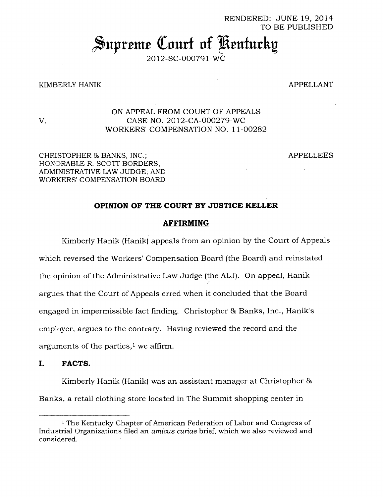#### RENDERED: JUNE 19, 2014 TO BE PUBLISHED

# **Supreme Court of Kentucky**

2012-SC-000791-WC

#### KIMBERLY HANIK 2008 APPELLANT

### ON APPEAL FROM COURT OF APPEALS V. CASE NO. 2012-CA-000279-WC WORKERS' COMPENSATION NO. 11-00282

CHRISTOPHER & BANKS, INC.; APPELLEES HONORABLE R. SCOTT BORDERS, ADMINISTRATIVE LAW JUDGE; AND WORKERS' COMPENSATION BOARD

#### **OPINION OF THE COURT BY JUSTICE KELLER**

#### **AFFIRMING**

Kimberly Hanik (Hanik) appeals from an opinion by the Court of Appeals which reversed the Workers' Compensation Board (the Board) and reinstated the opinion of the Administrative Law Judge (the ALJ). On appeal, Hanik argues that the Court of Appeals erred when it concluded that the Board engaged in impermissible fact finding. Christopher & Banks, Inc., Hanik's employer, argues to the contrary. Having reviewed the record and the arguments of the parties, $\frac{1}{1}$  we affirm.

#### **I. FACTS.**

Kimberly Hanik (Hanik) was an assistant manager at Christopher & Banks, a retail clothing store located in The Summit shopping center in

<sup>1</sup>The Kentucky Chapter of American Federation of Labor and Congress of Industrial Organizations filed an *amicus curiae* brief, which we also reviewed and considered.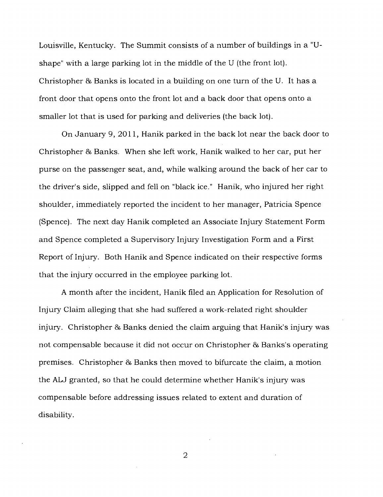Louisville, Kentucky. The Summit consists of a number of buildings in a "Ushape" with a large parking lot in the middle of the U (the front lot). Christopher & Banks is located in a building on one turn of the U. It has a front door that opens onto the front lot and a back door that opens onto a smaller lot that is used for parking and deliveries (the back lot).

On January 9, 2011, Hanik parked in the back lot near the back door to Christopher & Banks. When she left work, Hanik walked to her car, put her purse on the passenger seat, and, while walking around the back of her car to the driver's side, slipped and fell on "black ice." Hanik, who injured her right shoulder, immediately reported the incident to her manager, Patricia Spence (Spence). The next day Hanik completed an Associate Injury Statement Form and Spence completed a Supervisory Injury Investigation Form and a First Report of Injury. Both Hanik and Spence indicated on their respective forms that the injury occurred in the employee parking lot.

A month after the incident, Hanik filed an Application for Resolution of Injury Claim alleging that she had suffered a work-related right shoulder injury. Christopher & Banks denied the claim arguing that Hanik's injury was not compensable because it did not occur on Christopher & Banks's operating premises. Christopher 86 Banks then moved to bifurcate the claim, a motion the ALJ granted, so that he could determine whether Hanik's injury was compensable before addressing issues related to extent and duration of disability.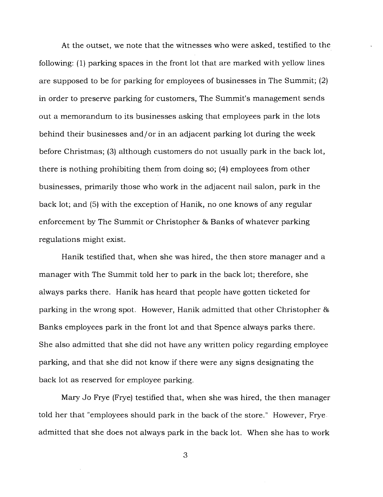At the outset, we note that the witnesses who were asked, testified to the following: (1) parking spaces in the front lot that are marked with yellow lines are supposed to be for parking for employees of businesses in The Summit; (2) in order to preserve parking for customers, The Summit's management sends out a memorandum to its businesses asking that employees park in the lots behind their businesses and/or in an adjacent parking lot during the week before Christmas; (3) although customers do not usually park in the back lot, there is nothing prohibiting them from doing so; (4) employees from other businesses, primarily those who work in the adjacent nail salon, park in the back lot; and (5) with the exception of Hanik, no one knows of any regular enforcement by The Summit or Christopher 86 Banks of whatever parking regulations might exist.

Hanik testified that, when she was hired, the then store manager and a manager with The Summit told her to park in the back lot; therefore, she always parks there. Hanik has heard that people have gotten ticketed for parking in the wrong spot. However, Hanik admitted that other Christopher 86 Banks employees park in the front lot and that Spence always parks there. She also admitted that she did not have any written policy regarding employee parking, and that she did not know if there were any signs designating the back lot as reserved for employee parking.

Mary Jo Frye (Frye) testified that, when she was hired, the then manager told her that "employees should park in the back of the store." However, Frye admitted that she does not always park in the back lot. When she has to work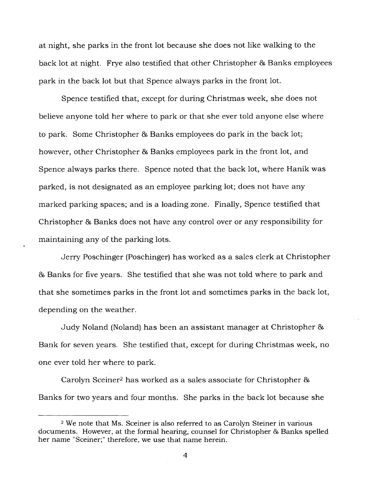at night, she parks in the front lot because she does not like walking to the back lot at night. Frye also testified that other Christopher 86 Banks employees park in the back lot but that Spence always parks in the front lot.

Spence testified that, except for during Christmas week, she does not believe anyone told her where to park or that she ever told anyone else where to park. Some Christopher 86 Banks employees do park in the back lot; however, other Christopher & Banks employees park in the front lot, and Spence always parks there. Spence noted that the back lot, where Hanik was parked, is not designated as an employee parking lot; does not have any marked parking spaces; and is a loading zone. Finally, Spence testified that Christopher 86 Banks does not have any control over or any responsibility for maintaining any of the parking lots.

Jerry Poschinger (Poschinger) has worked as a sales clerk at Christopher 86 Banks for five years. She testified that she was not told where to park and that she sometimes parks in the front lot and sometimes parks in the back lot, depending on the weather.

Judy Noland (Noland) has been an assistant manager at Christopher 86 Bank for seven years. She testified that, except for during Christmas week, no one ever told her where to park.

Carolyn Sceiner<sup>2</sup> has worked as a sales associate for Christopher & Banks for two years and four months. She parks in the back lot because she

<sup>2</sup>We note that Ms. Sceiner is also referred to as Carolyn Steiner in various documents. However, at the formal hearing, counsel for Christopher & Banks spelled her name "Sceiner;" therefore, we use that name herein.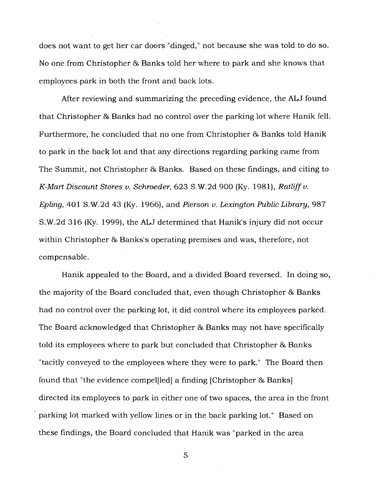does not want to get her car doors "dinged," not because she was told to do so. No one from Christopher & Banks told her where to park and she knows that employees park in both the front and back lots.

After reviewing and summarizing the preceding evidence, the ALJ found that Christopher & Banks had no control over the parking lot where Hanik fell. Furthermore, he concluded that no one from Christopher & Banks told Hanik to park in the back lot and that any directions regarding parking came from The Summit, not Christopher & Banks. Based on these findings, and citing to *K-Mart Discount Stores v. Schroeder,* 623 S.W.2d 900 (Ky. 1981), *Ratliff v. Epling,* 401 S.W.2d 43 (Ky. 1966), and *Pierson v. Lexington Public Library,* 987 S.W.2d 316 (Ky. 1999), the ALJ determined that Hanik's injury did not occur within Christopher & Banks's operating premises and was, therefore, not compensable.

Hanik appealed to the Board, and a divided Board reversed. In doing so, the majority of the Board concluded that, even though Christopher & Banks had no control over the parking lot, it did control where its employees parked. The Board acknowledged that Christopher & Banks may not have specifically told its employees where to park but concluded that Christopher 86 Banks "tacitly conveyed to the employees where they were to park." The Board then found that "the evidence compel[led] a finding [Christopher & Banks] directed its employees to park in either one of two spaces, the area in the front parking lot marked with yellow lines or in the back parking lot." Based on these findings, the Board concluded that Hanik was "parked in the area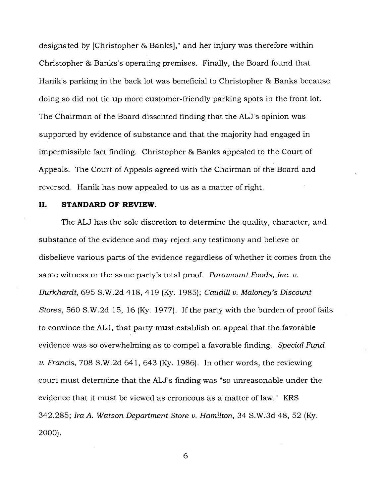designated by [Christopher & Banks]," and her injury was therefore within Christopher 86 Banks's operating premises. Finally, the Board found that Hanik's parking in the back lot was beneficial to Christopher 86 Banks because doing so did not tie up more customer-friendly parking spots in the front lot. The Chairman of the Board dissented finding that the ALJ's opinion was supported by evidence of substance and that the majority had engaged in impermissible fact finding. Christopher & Banks appealed to the Court of Appeals. The Court of Appeals agreed with the Chairman of the Board and reversed. Hanik has now appealed to us as a matter of right.

#### **II. STANDARD OF REVIEW.**

The ALJ has the sole discretion to determine the quality, character, and substance of the evidence and may reject any testimony and believe or disbelieve various parts of the evidence regardless of whether it comes from the same witness or the same party's total proof. *Paramount Foods, Inc. v. Burkhardt,* 695 S.W.2d 418, 419 (Ky. 1985); *Caudill v. Maloney's Discount Stores,* 560 S.W.2d 15, 16 (Ky. 1977). If the party with the burden of proof fails to convince the ALJ, that party must establish on appeal that the favorable evidence was so overwhelming as to compel a favorable finding. *Special Fund v. Francis,* 708 S.W.2d 641, 643 (Ky. 1986). In other words, the reviewing court must determine that the ALJ's finding was "so unreasonable under the evidence that it must be viewed as erroneous as a matter of law." KRS 342.285; *Ira A. Watson Department Store v. Hamilton,* 34 S.W.3d 48, 52 (Ky. 2000).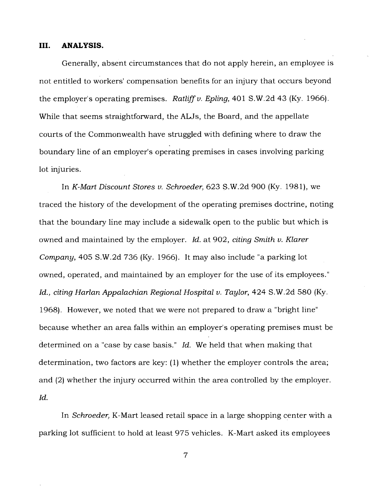#### **III. ANALYSIS.**

Generally, absent circumstances that do not apply herein, an employee is not entitled to workers' compensation benefits for an injury that occurs beyond the employer's operating premises. *Ratliff v. Epling,* 401 S.W.2d 43 (Ky. 1966). While that seems straightforward, the ALJs, the Board, and the appellate courts of the Commonwealth have struggled with defining where to draw the boundary line of an employer's operating premises in cases involving parking lot injuries.

In *K-Mart Discount Stores v. Schroeder,* 623 S.W.2d 900 (Ky. 1981), we traced the history of the development of the operating premises doctrine, noting that the boundary line may include a sidewalk open to the public but which is owned and maintained by the employer. *Id.* at 902, *citing Smith v. Klarer Company,* 405 S.W.2d 736 (Ky. 1966). It may also include "a parking lot owned, operated, and maintained by an employer for the use of its employees." Id., citing Harlan Appalachian Regional Hospital v. Taylor, 424 S.W.2d 580 (Ky. 1968). However, we noted that we were not prepared to draw a "bright line" because whether an area falls within an employer's operating premises must be determined on a "case by case basis." *Id.* We held that when making that determination, two factors are key: (1) whether the employer controls the area; and (2) whether the injury occurred within the area controlled by the employer. *Id.* 

In *Schroeder,* K-Mart leased retail space in a large shopping center with a parking lot sufficient to hold at least 975 vehicles. K-Mart asked its employees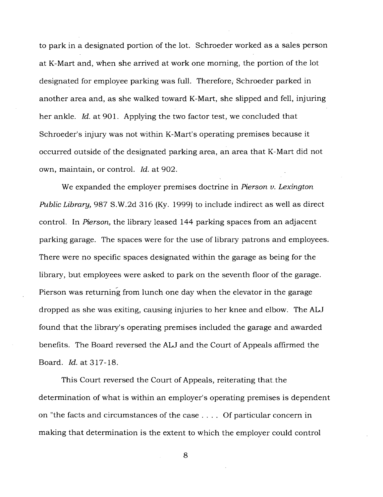to park in a designated portion of the lot. Schroeder worked as a sales person at K-Mart and, when she arrived at work one morning, the portion of the lot designated for employee parking was full. Therefore, Schroeder parked in another area and, as she walked toward K-Mart, she slipped and fell, injuring her ankle. *Id.* at 901. Applying the two factor test, we concluded that Schroeder's injury was not within K-Mart's operating premises because it occurred outside of the designated parking area, an area that K-Mart did not own, maintain, or control. *Id.* at 902.

We expanded the employer premises doctrine in *Pierson v. Lexington Public Library,* 987 S.W.2d 316 (Ky. 1999) to include indirect as well as direct control. In *Pierson,* the library leased 144 parking spaces from an adjacent parking garage. The spaces were for the use of library patrons and employees. There were no specific spaces designated within the garage as being for the library, but employees were asked to park on the seventh floor of the garage. Pierson was returning from lunch one day when the elevator in the garage dropped as she was exiting, causing injuries to her knee and elbow. The ALJ found that the library's operating premises included the garage and awarded benefits. The Board reversed the ALJ and the Court of Appeals affirmed the Board. *Id.* at 317-18.

This Court reversed the Court of Appeals, reiterating that the determination of what is within an employer's operating premises is dependent on "the facts and circumstances of the case . . . . Of particular concern in making that determination is the extent to which the employer could control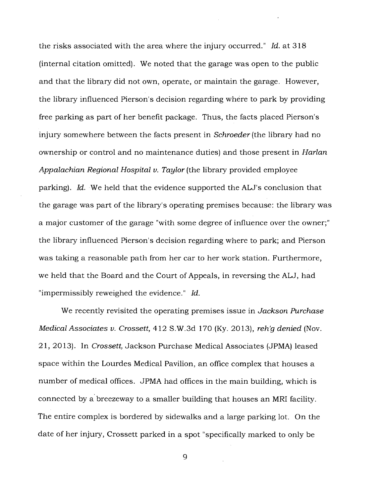the risks associated with the area where the injury occurred." *Id.* at 318 (internal citation omitted). We noted that the garage was open to the public and that the library did not own, operate, or maintain the garage. However, the library influenced Pierson's decision regarding where to park by providing free parking as part of her benefit package. Thus, the facts placed Pierson's injury somewhere between the facts present in *Schroeder* (the library had no ownership or control and no maintenance duties) and those present in *Harlan Appalachian Regional Hospital v. Taylor* (the library provided employee parking). *Id.* We held that the evidence supported the ALJ's conclusion that the garage was part of the library's operating premises because: the library was a major customer of the garage "with some degree of influence over the owner;" the library influenced Pierson's decision regarding where to park; and Pierson was taking a reasonable path from her car to her work station. Furthermore, we held that the Board and the Court of Appeals, in reversing the ALJ, had "impermissibly reweighed the evidence." *Id.* 

We recently revisited the operating premises issue in *Jackson Purchase Medical Associates v. Crossett,* 412 S.W.3d 170 (Ky. 2013), *reh'g denied* (Nov. 21, 2013). In *Crossett,* Jackson Purchase Medical Associates (JPMA) leased space within the Lourdes Medical Pavilion, an office complex that houses a number of medical offices. JPMA had offices in the main building, which is connected by a breezeway to a smaller building that houses an MRI facility. The entire complex is bordered by sidewalks and a large parking lot. On the date of her injury, Crossett parked in a spot "specifically marked to only be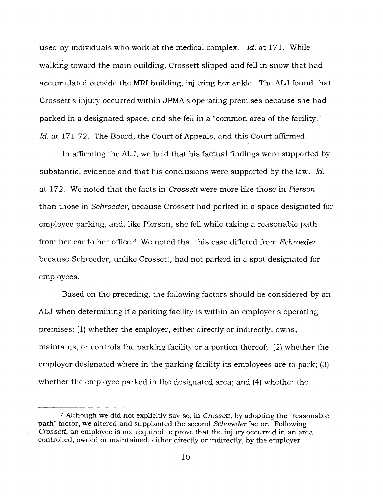used by individuals who work at the medical complex." *Id.* at 171. While walking toward the main building, Crossett slipped and fell in snow that had accumulated outside the MRI building, injuring her ankle. The ALJ found that Crossett's injury occurred within JPMA's operating premises because she had parked in a designated space, and she fell in a "common area of the facility." Id. at 171-72. The Board, the Court of Appeals, and this Court affirmed.

In affirming the ALJ, we held that his factual findings were supported by substantial evidence and that his conclusions were supported by the law. *Id.*  at 172. We noted that the facts in *Crossett* were more like those in *Pierson*  than those in *Schroeder,* because Crossett had parked in a space designated for employee parking, and, like Pierson, she fell while taking a reasonable path from her car to her office.<sup>3</sup> We noted that this case differed from *Schroeder* because Schroeder, unlike Crossett, had not parked in a spot designated for employees.

Based on the preceding, the following factors should be considered by an ALJ when determining if a parking facility is within an employer's operating premises: (1) whether the employer, either directly or indirectly, owns, maintains, or controls the parking facility or a portion thereof; (2) whether the employer designated where in the parking facility its employees are to park; (3) whether the employee parked in the designated area; and (4) whether the

<sup>3</sup>Although we did not explicitly say so, in *Crossett,* by adopting the "reasonable path" factor, we altered and supplanted the second *Schoreder* factor. Following *Crossett,* an employee is not required to prove that the injury occurred in an area controlled, owned or maintained, either directly or indirectly, by the employer.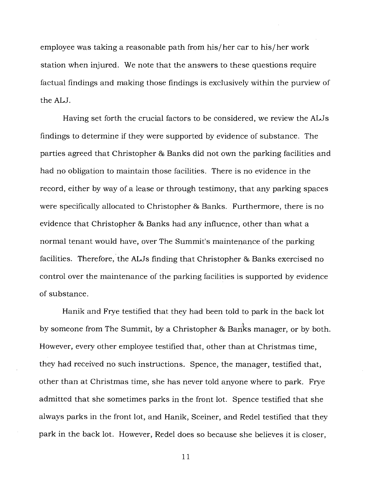employee was taking a reasonable path from his/her car to his/her work station when injured. We note that the answers to these questions require factual findings and making those findings is exclusively within the purview of the ALJ.

Having set forth the crucial factors to be considered, we review the ALJs findings to determine if they were supported by evidence of substance. The parties agreed that Christopher 86 Banks did not own the parking facilities and had no obligation to maintain those facilities. There is no evidence in the record, either by way of a lease or through testimony, that any parking spaces were specifically allocated to Christopher & Banks. Furthermore, there is no evidence that Christopher & Banks had any influence, other than what a normal tenant would have, over The Summit's maintenance of the parking facilities. Therefore, the ALJs finding that Christopher & Banks exercised no control over the maintenance of the parking facilities is supported by evidence of substance.

Hanik and Frye testified that they had been told to park in the back lot by someone from The Summit, by a Christopher & Banks manager, or by both. However, every other employee testified that, other than at Christmas time, they had received no such instructions. Spence, the manager, testified that, other than at Christmas time, she has never told anyone where to park. Frye admitted that she sometimes parks in the front lot. Spence testified that she always parks in the front lot, and Hanik, Sceiner, and Redel testified that they park in the back lot. However, Redel does so because she believes it is closer,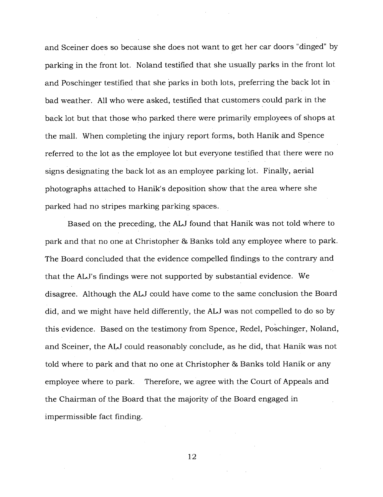and Sceiner does so because she does not want to get her car doors "dinged" by parking in the front lot. Noland testified that she usually parks in the front lot and Poschinger testified that she parks in both lots, preferring the back lot in bad weather. All who were asked, testified that customers could park in the back lot but that those who parked there were primarily employees of shops at the mall. When completing the injury report forms, both Hanik and Spence referred to the lot as the employee lot but everyone testified that there were no signs designating the back lot as an employee parking lot. Finally, aerial photographs attached to Hanik's deposition show that the area where she parked had no stripes marking parking spaces.

Based on the preceding, the ALJ found that Hanik was not told where to park and that no one at Christopher 86 Banks told any employee where to park. The Board concluded that the evidence compelled findings to the contrary and that the ALJ's findings were not supported by substantial evidence. We disagree. Although the ALJ could have come to the same conclusion the Board did, and we might have held differently, the ALJ was not compelled to do so by this evidence. Based on the testimony from Spence, Redel, Poschinger, Noland, and Sceiner, the ALJ could reasonably conclude, as he did, that Hanik was not told where to park and that no one at Christopher & Banks told Hanik or any employee where to park. Therefore, we agree with the Court of Appeals and the Chairman of the Board that the majority of the Board engaged in impermissible fact finding.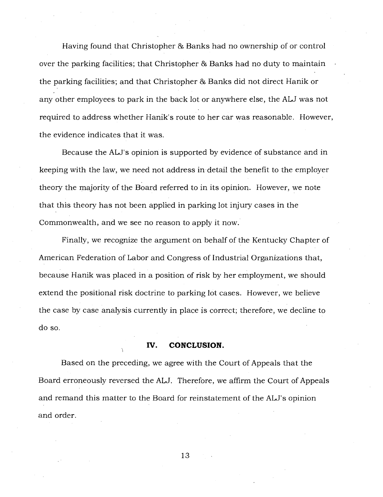Having found that Christopher 86 Banks had no ownership of or control over the parking facilities; that Christopher & Banks had no duty to maintain the parking facilities; and that Christopher & Banks did not direct Hanik or any other employees to park in the back lot or anywhere else, the ALJ was not required to address whether Hanik's route to her car was reasonable. However, the evidence indicates that it was.

Because the ALJ's opinion is supported by evidence of substance and in keeping with the law, we need not address in detail the benefit to the employer theory the majority of the Board referred to in its opinion. However, we note that this theory has not been applied in parking lot injury cases in the Commonwealth, and we see no reason to apply it now.

Finally, we recognize the argument on behalf of the Kentucky Chapter of American Federation of Labor and Congress of Industrial Organizations that, because Hanik was placed in a position of risk by her employment, we should extend the positional risk doctrine to parking lot cases. However, we believe the case by case analysis currently in place is correct; therefore, we decline to do so.

#### **IV. CONCLUSION.**

Based on the preceding, we agree with the Court of Appeals that the Board erroneously reversed the ALJ. Therefore, we affirm the Court of Appeals and remand this matter to the Board for reinstatement of the ALJ's opinion and order.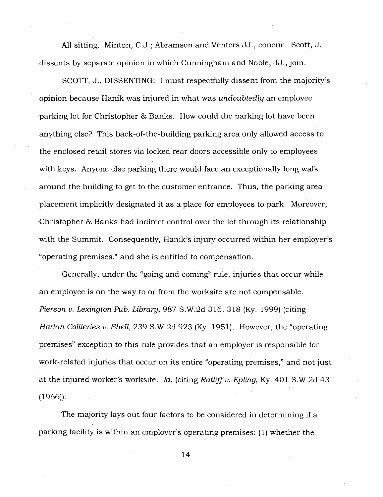All sitting. Minton, C.J.; Abramson and Venters JJ., concur. Scott, J. dissents by separate opinion in which Cunningham and Noble, JJ., join.

SCOTT, J., DISSENTING: I must respectfully dissent from the majority's opinion because Hanik was injured in what was *undoubtedly* an employee parking lot for Christopher & Banks. How could the parking lot have been anything else? This back-of-the-building parking area only allowed access to the enclosed retail stores via locked rear doors accessible only to employees with keys. Anyone else parking there would face an exceptionally long walk around the building to get to the customer entrance. Thus, the parking area placement implicitly designated it as a place for employees to park. Moreover, Christopher & Banks had indirect control over the lot through its relationship with the Summit. Consequently, Hanik's injury occurred within her employer's "operating premises," and she is entitled to compensation.

Generally, under the "going and coming" rule, injuries that occur while an employee is on the way to or from the worksite are not compensable. *Pierson v. Lexington Pub. Library,* 987 S.W.2d 316, 318 (Ky. 1999) (citing *Harlan Collieries v. Shell,* 239 S.W.2d 923 (Ky. 1951). However, the "operating premises" exception to this rule provides that an employer is responsible for work-related injuries that occur on its entire "operating premises," and not just at the injured worker's worksite. *Id.* (citing *Ratliff v. Epling,* Ky. 401 S.W.2d 43 (1966)).

The majority lays out four factors to be considered in determining if a parking facility is within an employer's operating premises: (1) whether the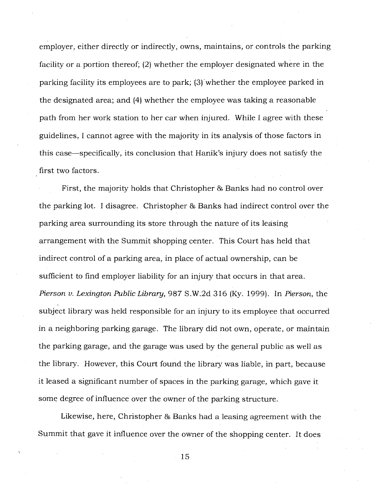employer, either directly or indirectly, owns, maintains, or controls the parking facility or a portion thereof; (2) whether the employer designated where in the parking facility its employees are to park; (3)'whether the employee parked in the designated area; and (4) whether the employee was taking a reasonable path from her work station to her car when injured. While I agree with these guidelines, I cannot agree with the majority in its analysis of those factors in this case—specifically, its conclusion that Hanik's injury does not satisfy the first two factors.

First, the majority holds that Christopher & Banks had no control over the parking lot. I disagree. Christopher 86 Banks had indirect control over the parking area surrounding its store through the nature of its leasing arrangement with the Summit shopping center. This Court has held that indirect control of a parking area, in place of actual ownership, can be sufficient to find employer liability for an injury that occurs in that area. *Pierson v. Lexington Public Library,* 987 S.W.2d 316 (Ky. 1999). In *Pierson,* the subject library was held responsible for an injury to its employee that occurred in a neighboring parking garage. The library did not own, operate, or maintain the parking garage, and the garage was used by the general public as well as the library. However, this Court found the library was liable, in part, because it leased a significant number of spaces in the parking garage, which gave it some degree of influence over the owner of the parking structure.

Likewise, here, Christopher & Banks had a leasing agreement with the Summit that gave it influence over the owner of the shopping center. It does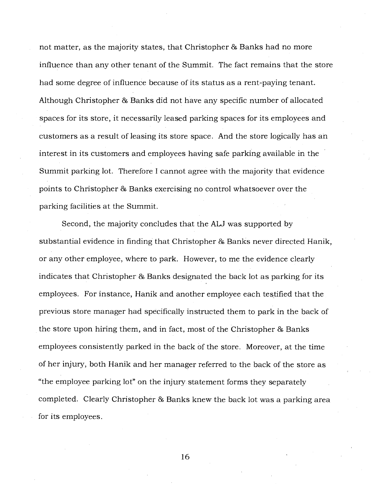not matter, as the majority states, that Christopher & Banks had no more influence than any other tenant of the Summit. The fact remains that the store had some degree of influence because of its status as a rent-paying tenant. Although Christopher & Banks did not have any specific number of allocated spaces for its store, it necessarily leased parking spaces for its employees and customers as a result of leasing its store space. And the store logically has an interest in its customers and employees having safe parking available in the Summit parking lot. Therefore I cannot agree with the majority that evidence points to Christopher 86 Banks exercising no control whatsoever over the parking facilities at the Summit.

Second, the majority concludes that the ALJ was supported by substantial evidence in finding that Christopher & Banks never directed Hanik, or any other employee, where to park. However, to me the evidence clearly indicates that Christopher & Banks designated the back lot as parking for its employees. For instance, Hanik and another employee each testified that the previous store manager had specifically instructed them to park in the back of the store upon hiring them, and in fact, most of the Christopher & Banks employees consistently parked in the back of the store. Moreover, at the time of her injury, both Hanik and her manager referred to the back of the store as "the employee parking lot" on the injury statement forms they separately completed. Clearly Christopher 86 Banks knew the back lot was a parking area for its employees.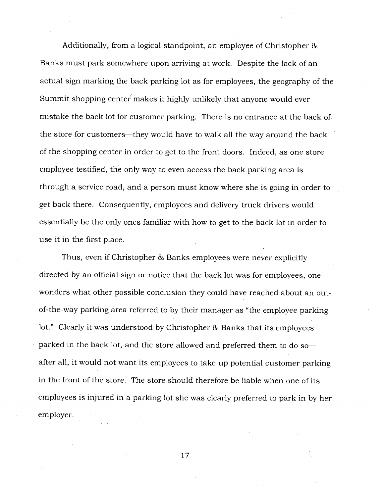Additionally, from a logical standpoint, an employee of Christopher & Banks must park somewhere upon arriving at work. Despite the lack of an actual sign marking the back parking lot as for employees, the geography of the Summit shopping center makes it highly unlikely that anyone would ever mistake the back lot for customer parking: There is no entrance at the back of the store for customers—they would have to walk all the way around the back of the shopping center in order to get to the front doors. Indeed, as one store employee testified, the only way to even access the back parking area is through a service road, and a person must know where she is going in order to get back there. Consequently, employees and delivery truck drivers would essentially be the only ones familiar with how to get to the back lot in order to use it in the first place.

Thus, even if Christopher & Banks employees were never explicitly directed by an official sign or notice that the back lot was for employees, one wonders what other possible conclusion they could have reached about an outof-the-way parking area referred to by their manager as "the employee parking lot." Clearly it was understood by Christopher & Banks that its employees parked in the back lot, and the store allowed and preferred them to do so after all, it would not want its employees to take up potential customer parking in the front of the store. The store should therefore be liable when one of its employees is injured in a parking lot she was clearly preferred to park in by her employer.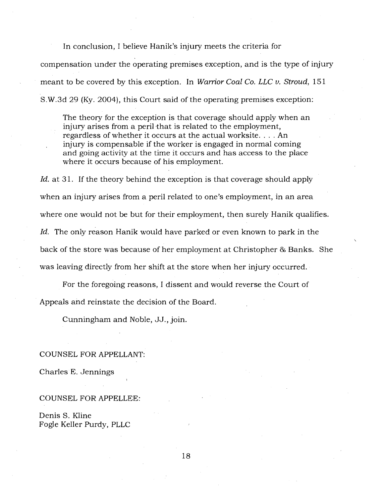In conclusion, I believe Hanik's injury meets the criteria for compensation under the operating premises exception, and is the type of injury meant to be covered by this exception. In *Warrior Coal Co. LLC v. Stroud,* 151 S.W.3d 29 (Ky. 2004), this Court said of the operating premises exception:

The theory for the exception is that coverage should apply when an injury arises from a peril that is related to the employment, regardless of whether it occurs at the actual worksite. . . . An injury is compensable if the worker is engaged in normal coming and going activity at the time it occurs and has access to the place where it occurs because of his employment.

*Id.* at 31. If the theory behind the exception is that coverage should apply when an injury arises from a peril related to one's employment, in an area where one would not be but for their employment, then surely Hanik qualifies. *Id.* The only reason Hanik would have parked or even known to park in the back of the store was because of her employment at Christopher & Banks. She was leaving directly from her shift at the store when her injury occurred.

For the foregoing reasons, I dissent and would reverse the Court of Appeals and reinstate the decision of the Board.

Cunningham and Noble, JJ., join.

#### COUNSEL FOR APPELLANT:

Charles E. Jennings

#### COUNSEL FOR APPELLEE:

Denis S. Kline Fogle Keller Purdy, PLLC